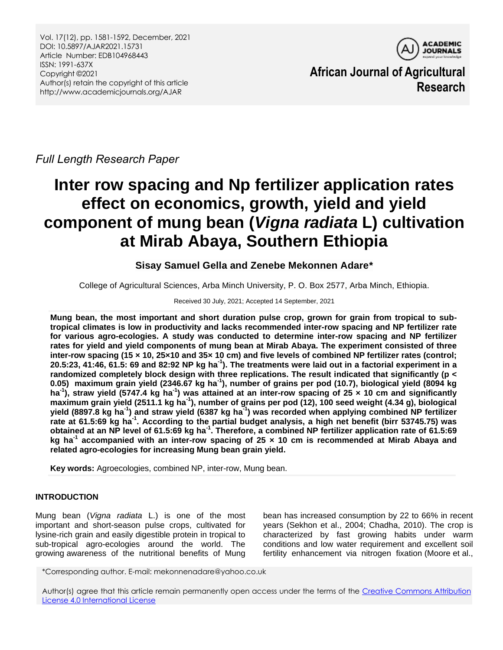

**African Journal of Agricultural Research**

*Full Length Research Paper*

# **Inter row spacing and Np fertilizer application rates effect on economics, growth, yield and yield component of mung bean (***Vigna radiata* **L) cultivation at Mirab Abaya, Southern Ethiopia**

## **Sisay Samuel Gella and Zenebe Mekonnen Adare\***

College of Agricultural Sciences, Arba Minch University, P. O. Box 2577, Arba Minch, Ethiopia.

Received 30 July, 2021; Accepted 14 September, 2021

**Mung bean, the most important and short duration pulse crop, grown for grain from tropical to subtropical climates is low in productivity and lacks recommended inter-row spacing and NP fertilizer rate for various agro-ecologies. A study was conducted to determine inter-row spacing and NP fertilizer rates for yield and yield components of mung bean at Mirab Abaya. The experiment consisted of three inter-row spacing (15 × 10, 25×10 and 35× 10 cm) and five levels of combined NP fertilizer rates (control; 20.5:23, 41:46, 61.5: 69 and 82:92 NP kg ha-1 ). The treatments were laid out in a factorial experiment in a randomized completely block design with three replications. The result indicated that significantly (p < 0.05) maximum grain yield (2346.67 kg ha-1 ), number of grains per pod (10.7), biological yield (8094 kg ha-1 ), straw yield (5747.4 kg ha-1 ) was attained at an inter-row spacing of 25 × 10 cm and significantly maximum grain yield (2511.1 kg ha-1 ), number of grains per pod (12), 100 seed weight (4.34 g), biological yield (8897.8 kg ha-1 ) and straw yield (6387 kg ha-1 ) was recorded when applying combined NP fertilizer rate at 61.5:69 kg ha-1 . According to the partial budget analysis, a high net benefit (birr 53745.75) was obtained at an NP level of 61.5:69 kg ha-1 . Therefore, a combined NP fertilizer application rate of 61.5:69 kg ha-1 accompanied with an inter-row spacing of 25 × 10 cm is recommended at Mirab Abaya and related agro-ecologies for increasing Mung bean grain yield.** 

**Key words:** Agroecologies, combined NP, inter-row, Mung bean.

## **INTRODUCTION**

Mung bean (*Vigna radiata* L.) is one of the most important and short-season pulse crops, cultivated for lysine-rich grain and easily digestible protein in tropical to sub-tropical agro-ecologies around the world. The growing awareness of the nutritional benefits of Mung

bean has increased consumption by 22 to 66% in recent years (Sekhon et al., 2004; Chadha, 2010). The crop is characterized by fast growing habits under warm conditions and low water requirement and excellent soil fertility enhancement via nitrogen fixation (Moore et al.,

\*Corresponding author. E-mail: mekonnenadare@yahoo.co.uk

Author(s) agree that this article remain permanently open access under the terms of the Creative Commons Attribution [License 4.0 International License](http://creativecommons.org/licenses/by/4.0/deed.en_US)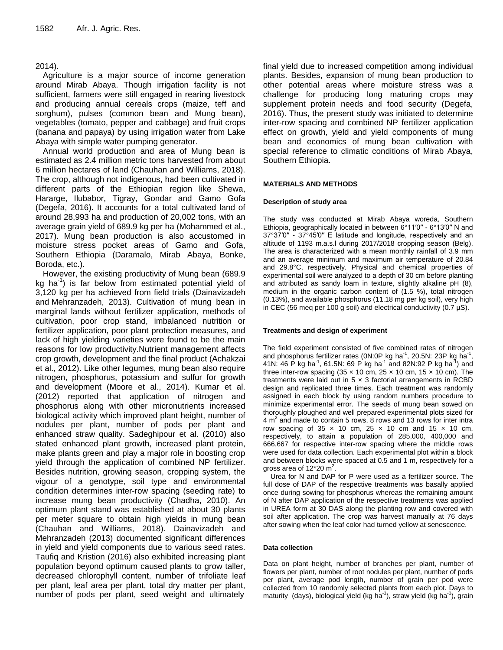## 2014).

Agriculture is a major source of income generation around Mirab Abaya. Though irrigation facility is not sufficient, farmers were still engaged in rearing livestock and producing annual cereals crops (maize, teff and sorghum), pulses (common bean and Mung bean), vegetables (tomato, pepper and cabbage) and fruit crops (banana and papaya) by using irrigation water from Lake Abaya with simple water pumping generator.

Annual world production and area of Mung bean is estimated as 2.4 million metric tons harvested from about 6 million hectares of land (Chauhan and Williams, 2018). The crop, although not indigenous, had been cultivated in different parts of the Ethiopian region like Shewa, Hararge, Ilubabor, Tigray, Gondar and Gamo Gofa (Degefa, 2016). It accounts for a total cultivated land of around 28,993 ha and production of 20,002 tons, with an average grain yield of 689.9 kg per ha (Mohammed et al., 2017). Mung bean production is also accustomed in moisture stress pocket areas of Gamo and Gofa, Southern Ethiopia (Daramalo, Mirab Abaya, Bonke, Boroda, etc.).

However, the existing productivity of Mung bean (689.9 kg ha<sup>-1</sup>) is far below from estimated potential yield of 3,120 kg per ha achieved from field trials (Dainavizadeh and Mehranzadeh, 2013). Cultivation of mung bean in marginal lands without fertilizer application, methods of cultivation, poor crop stand, imbalanced nutrition or fertilizer application, poor plant protection measures, and lack of high yielding varieties were found to be the main reasons for low productivity.Nutrient management affects crop growth, development and the final product (Achakzai et al., 2012). Like other legumes, mung bean also require nitrogen, phosphorus, potassium and sulfur for growth and development (Moore et al., 2014). Kumar et al. (2012) reported that application of nitrogen and phosphorus along with other micronutrients increased biological activity which improved plant height, number of nodules per plant, number of pods per plant and enhanced straw quality. Sadeghipour et al. (2010) also stated enhanced plant growth, increased plant protein, make plants green and play a major role in boosting crop yield through the application of combined NP fertilizer. Besides nutrition, growing season, cropping system, the vigour of a genotype, soil type and environmental condition determines inter-row spacing (seeding rate) to increase mung bean productivity (Chadha, 2010). An optimum plant stand was established at about 30 plants per meter square to obtain high yields in mung bean (Chauhan and Williams, 2018). Dainavizadeh and Mehranzadeh (2013) documented significant differences in yield and yield components due to various seed rates. Taufiq and Kristion (2016) also exhibited increasing plant population beyond optimum caused plants to grow taller, decreased chlorophyll content, number of trifoliate leaf per plant, leaf area per plant, total dry matter per plant, number of pods per plant, seed weight and ultimately

final yield due to increased competition among individual plants. Besides, expansion of mung bean production to other potential areas where moisture stress was a challenge for producing long maturing crops may supplement protein needs and food security (Degefa, 2016). Thus, the present study was initiated to determine inter-row spacing and combined NP fertilizer application effect on growth, yield and yield components of mung bean and economics of mung bean cultivation with special reference to climatic conditions of Mirab Abaya, Southern Ethiopia.

#### **MATERIALS AND METHODS**

#### **Description of study area**

The study was conducted at Mirab Abaya woreda, Southern Ethiopia, geographically located in between 6°11′0′′ - 6°13′0′′ N and 37°37′0′′ - 37°45′0′′ E latitude and longitude, respectively and an altitude of 1193 m.a.s.l during 2017/2018 cropping season (Belg). The area is characterized with a mean monthly rainfall of 3.9 mm and an average minimum and maximum air temperature of 20.84 and 29.8°C, respectively. Physical and chemical properties of experimental soil were analyzed to a depth of 30 cm before planting and attributed as sandy loam in texture, slightly alkaline pH (8), medium in the organic carbon content of (1.5 %), total nitrogen (0.13%), and available phosphorus (11.18 mg per kg soil), very high in CEC (56 meq per 100 g soil) and electrical conductivity (0.7  $\mu$ S).

#### **Treatments and design of experiment**

The field experiment consisted of five combined rates of nitrogen and phosphorus fertilizer rates (0N:0P kg ha<sup>-1</sup>, 20.5N: 23P kg ha<sup>-1</sup>, 41N: 46 P kg ha<sup>-1</sup>, 61.5N: 69 P kg ha<sup>-1</sup> and 82N:92 P kg ha<sup>-1</sup>) and three inter-row spacing (35  $\times$  10 cm, 25  $\times$  10 cm, 15  $\times$  10 cm). The treatments were laid out in  $5 \times 3$  factorial arrangements in RCBD design and replicated three times. Each treatment was randomly assigned in each block by using random numbers procedure to minimize experimental error. The seeds of mung bean sowed on thoroughly ploughed and well prepared experimental plots sized for  $4 \text{ m}^2$  and made to contain 5 rows, 8 rows and 13 rows for inter intra row spacing of  $35 \times 10$  cm,  $25 \times 10$  cm and  $15 \times 10$  cm, respectively, to attain a population of 285,000, 400,000 and 666,667 for respective inter-row spacing where the middle rows were used for data collection. Each experimental plot within a block and between blocks were spaced at 0.5 and 1 m, respectively for a gross area of 12 $*$ 20 m<sup>2</sup>.

Urea for N and DAP for P were used as a fertilizer source. The full dose of DAP of the respective treatments was basally applied once during sowing for phosphorus whereas the remaining amount of N after DAP application of the respective treatments was applied in UREA form at 30 DAS along the planting row and covered with soil after application. The crop was harvest manually at 76 days after sowing when the leaf color had turned yellow at senescence.

#### **Data collection**

Data on plant height, number of branches per plant, number of flowers per plant, number of root nodules per plant, number of pods per plant, average pod length, number of grain per pod were collected from 10 randomly selected plants from each plot. Days to maturity (days), biological yield (kg ha $^{-1}$ ), straw yield (kg ha $^{-1}$ ), grain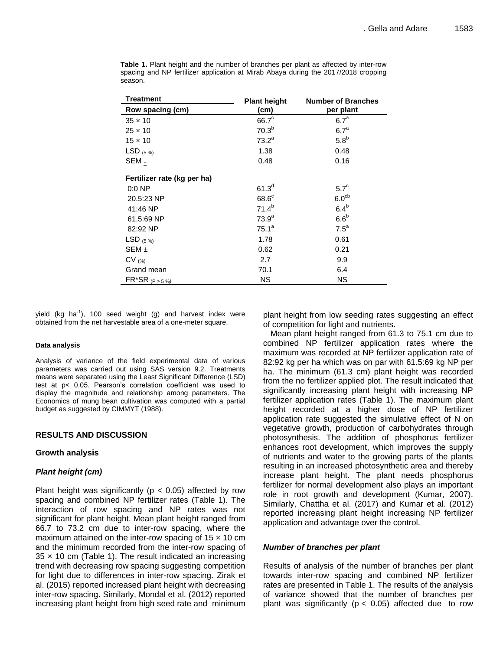| <b>Treatment</b>            | <b>Plant height</b> | <b>Number of Branches</b> |  |  |  |
|-----------------------------|---------------------|---------------------------|--|--|--|
| Row spacing (cm)            | (cm)                | per plant                 |  |  |  |
| $35 \times 10$              | $66.7^{\circ}$      | $6.7^a$                   |  |  |  |
| $25 \times 10$              | 70.3 <sup>b</sup>   | 6.7 <sup>a</sup>          |  |  |  |
| $15 \times 10$              | 73.2 <sup>a</sup>   | 5.8 <sup>b</sup>          |  |  |  |
| LSD $(5\%)$                 | 1.38                | 0.48                      |  |  |  |
| SEM <sub>+</sub>            | 0.48                | 0.16                      |  |  |  |
| Fertilizer rate (kg per ha) |                     |                           |  |  |  |
| $0:0$ NP                    | 61.3 <sup>d</sup>   | $5.7^\circ$               |  |  |  |
| 20.5:23 NP                  | $68.6^{\circ}$      | 6.0 <sup>cb</sup>         |  |  |  |
| 41:46 NP                    | $71.4^{b}$          | 6.4 <sup>b</sup>          |  |  |  |
| 61.5:69 NP                  | 73.9 <sup>a</sup>   | 6.6 <sup>b</sup>          |  |  |  |
| 82:92 NP                    | 75.1 <sup>a</sup>   | $7.5^a$                   |  |  |  |
| LSD $(5\%)$                 | 1.78                | 0.61                      |  |  |  |
| $SEM \pm$                   | 0.62                | 0.21                      |  |  |  |
| $CV_{(%)}$                  | 2.7                 | 9.9                       |  |  |  |
| Grand mean                  | 70.1                | 6.4                       |  |  |  |
| $FR^*SR_{(P \ge 5\%)}$      | <b>NS</b>           | <b>NS</b>                 |  |  |  |

**Table 1.** Plant height and the number of branches per plant as affected by inter-row spacing and NP fertilizer application at Mirab Abaya during the 2017/2018 cropping season.

yield (kg ha<sup>-1</sup>), 100 seed weight (g) and harvest index were obtained from the net harvestable area of a one-meter square.

#### **Data analysis**

Analysis of variance of the field experimental data of various parameters was carried out using SAS version 9.2. Treatments means were separated using the Least Significant Difference (LSD) test at p< 0.05. Pearson's correlation coefficient was used to display the magnitude and relationship among parameters. The Economics of mung bean cultivation was computed with a partial budget as suggested by CIMMYT (1988).

#### **RESULTS AND DISCUSSION**

#### **Growth analysis**

## *Plant height (cm)*

Plant height was significantly ( $p < 0.05$ ) affected by row spacing and combined NP fertilizer rates (Table 1). The interaction of row spacing and NP rates was not significant for plant height. Mean plant height ranged from 66.7 to 73.2 cm due to inter-row spacing, where the maximum attained on the inter-row spacing of  $15 \times 10$  cm and the minimum recorded from the inter-row spacing of  $35 \times 10$  cm (Table 1). The result indicated an increasing trend with decreasing row spacing suggesting competition for light due to differences in inter-row spacing. Zirak et al. (2015) reported increased plant height with decreasing inter-row spacing. Similarly, Mondal et al. (2012) reported increasing plant height from high seed rate and minimum plant height from low seeding rates suggesting an effect of competition for light and nutrients.

Mean plant height ranged from 61.3 to 75.1 cm due to combined NP fertilizer application rates where the maximum was recorded at NP fertilizer application rate of 82:92 kg per ha which was on par with 61.5:69 kg NP per ha. The minimum (61.3 cm) plant height was recorded from the no fertilizer applied plot. The result indicated that significantly increasing plant height with increasing NP fertilizer application rates (Table 1). The maximum plant height recorded at a higher dose of NP fertilizer application rate suggested the simulative effect of N on vegetative growth, production of carbohydrates through photosynthesis. The addition of phosphorus fertilizer enhances root development, which improves the supply of nutrients and water to the growing parts of the plants resulting in an increased photosynthetic area and thereby increase plant height. The plant needs phosphorus fertilizer for normal development also plays an important role in root growth and development (Kumar, 2007). Similarly, Chattha et al. (2017) and Kumar et al. (2012) reported increasing plant height increasing NP fertilizer application and advantage over the control.

#### *Number of branches per plant*

Results of analysis of the number of branches per plant towards inter-row spacing and combined NP fertilizer rates are presented in Table 1. The results of the analysis of variance showed that the number of branches per plant was significantly ( $p < 0.05$ ) affected due to row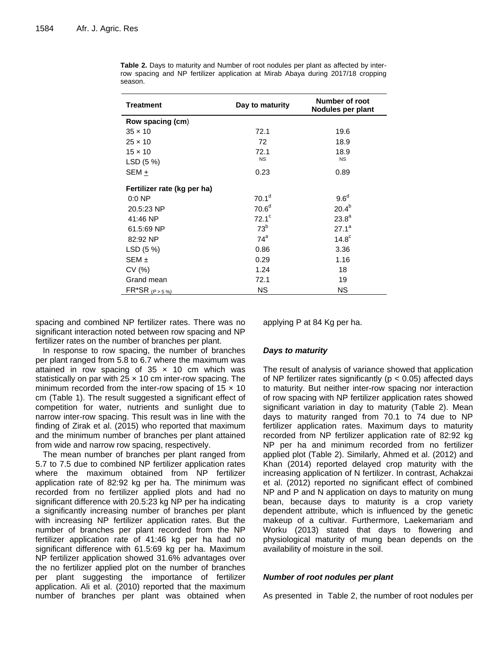| <b>Treatment</b>            | Day to maturity   | Number of root<br>Nodules per plant |  |  |  |
|-----------------------------|-------------------|-------------------------------------|--|--|--|
| Row spacing (cm)            |                   |                                     |  |  |  |
| $35 \times 10$              | 72.1              | 19.6                                |  |  |  |
| $25 \times 10$              | 72                | 18.9                                |  |  |  |
| $15 \times 10$              | 72.1              | 18.9                                |  |  |  |
| LSD (5 %)                   | <b>NS</b>         | <b>NS</b>                           |  |  |  |
| SEM +                       | 0.23              | 0.89                                |  |  |  |
| Fertilizer rate (kg per ha) |                   |                                     |  |  |  |
| $0:0$ NP                    | 70.1 <sup>d</sup> | $9.6^\circ$                         |  |  |  |
| 20.5:23 NP                  | 70.6 <sup>d</sup> | $20.4^{b}$                          |  |  |  |
| 41:46 NP                    | $72.1^\circ$      | $23.8^{a}$                          |  |  |  |
| 61.5:69 NP                  | 73 <sup>b</sup>   | $27.1^a$                            |  |  |  |
| 82:92 NP                    | $74^a$            | 14.8 <sup>c</sup>                   |  |  |  |
| LSD (5 %)                   | 0.86              | 3.36                                |  |  |  |
| $SEM \pm$                   | 0.29              | 1.16                                |  |  |  |
| CV(%)                       | 1.24              | 18                                  |  |  |  |
| Grand mean                  | 72.1              | 19                                  |  |  |  |
| $FR^*SR_{(P>5\%)}$          | ΝS                | <b>NS</b>                           |  |  |  |

**Table 2.** Days to maturity and Number of root nodules per plant as affected by interrow spacing and NP fertilizer application at Mirab Abaya during 2017/18 cropping season.

spacing and combined NP fertilizer rates. There was no significant interaction noted between row spacing and NP fertilizer rates on the number of branches per plant.

In response to row spacing, the number of branches per plant ranged from 5.8 to 6.7 where the maximum was attained in row spacing of  $35 \times 10$  cm which was statistically on par with  $25 \times 10$  cm inter-row spacing. The minimum recorded from the inter-row spacing of  $15 \times 10$ cm (Table 1). The result suggested a significant effect of competition for water, nutrients and sunlight due to narrow inter-row spacing. This result was in line with the finding of Zirak et al. (2015) who reported that maximum and the minimum number of branches per plant attained from wide and narrow row spacing, respectively.

The mean number of branches per plant ranged from 5.7 to 7.5 due to combined NP fertilizer application rates where the maximum obtained from NP fertilizer application rate of 82:92 kg per ha. The minimum was recorded from no fertilizer applied plots and had no significant difference with 20.5:23 kg NP per ha indicating a significantly increasing number of branches per plant with increasing NP fertilizer application rates. But the number of branches per plant recorded from the NP fertilizer application rate of 41:46 kg per ha had no significant difference with 61.5:69 kg per ha. Maximum NP fertilizer application showed 31.6% advantages over the no fertilizer applied plot on the number of branches per plant suggesting the importance of fertilizer application. Ali et al. (2010) reported that the maximum number of branches per plant was obtained when applying P at 84 Kg per ha.

## *Days to maturity*

The result of analysis of variance showed that application of NP fertilizer rates significantly ( $p < 0.05$ ) affected days to maturity. But neither inter-row spacing nor interaction of row spacing with NP fertilizer application rates showed significant variation in day to maturity (Table 2). Mean days to maturity ranged from 70.1 to 74 due to NP fertilizer application rates. Maximum days to maturity recorded from NP fertilizer application rate of 82:92 kg NP per ha and minimum recorded from no fertilizer applied plot (Table 2). Similarly, Ahmed et al. (2012) and Khan (2014) reported delayed crop maturity with the increasing application of N fertilizer. In contrast, Achakzai et al. (2012) reported no significant effect of combined NP and P and N application on days to maturity on mung bean, because days to maturity is a crop variety dependent attribute, which is influenced by the genetic makeup of a cultivar. Furthermore, Laekemariam and Worku (2013) stated that days to flowering and physiological maturity of mung bean depends on the availability of moisture in the soil.

## *Number of root nodules per plant*

As presented in Table 2, the number of root nodules per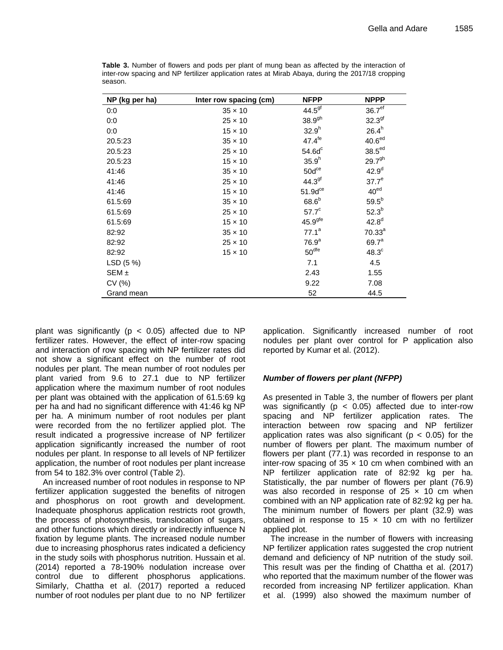| NP (kg per ha) | Inter row spacing (cm) | <b>NFPP</b>         | <b>NPPP</b>        |
|----------------|------------------------|---------------------|--------------------|
| 0:0            | $35 \times 10$         | 44.5 <sup>gf</sup>  | 36.7 <sup>ef</sup> |
| 0:0            | $25 \times 10$         | $38.9^{9h}$         | 32.3 <sup>gf</sup> |
| 0:0            | $15 \times 10$         | 32.9 <sup>h</sup>   | $26.4^h$           |
| 20.5:23        | $35 \times 10$         | $47.4^{\text{fe}}$  | 40.6 <sup>ed</sup> |
| 20.5:23        | $25 \times 10$         | 54.6d <sup>c</sup>  | 38.5 <sup>ed</sup> |
| 20.5:23        | $15 \times 10$         | $35.9^{h}$          | $29.7^{9h}$        |
| 41:46          | $35 \times 10$         | $50d$ <sup>ce</sup> | 42.9 <sup>d</sup>  |
| 41:46          | $25 \times 10$         | 44.3 <sup>gf</sup>  | 37.7 <sup>e</sup>  |
| 41:46          | $15 \times 10$         | $51.9d^{ce}$        | 40 <sup>ed</sup>   |
| 61.5:69        | $35 \times 10$         | $68.6^b$            | $59.5^{b}$         |
| 61.5:69        | $25 \times 10$         | 57.7 <sup>c</sup>   | $52.3^{b}$         |
| 61.5:69        | $15 \times 10$         | 45.9 <sup>gte</sup> | $42.8^{d}$         |
| 82:92          | $35 \times 10$         | $77.1^a$            | 70.33 <sup>a</sup> |
| 82:92          | $25 \times 10$         | 76.9 <sup>a</sup>   | 69.7 <sup>a</sup>  |
| 82:92          | $15 \times 10$         | 50 <sup>dfe</sup>   | $48.3^c$           |
| LSD(5%)        |                        | 7.1                 | 4.5                |
| $SEM \pm$      |                        | 2.43                | 1.55               |
| CV(%)          |                        | 9.22                | 7.08               |
| Grand mean     |                        | 52                  | 44.5               |

**Table 3.** Number of flowers and pods per plant of mung bean as affected by the interaction of inter-row spacing and NP fertilizer application rates at Mirab Abaya, during the 2017/18 cropping season.

plant was significantly ( $p < 0.05$ ) affected due to NP fertilizer rates. However, the effect of inter-row spacing and interaction of row spacing with NP fertilizer rates did not show a significant effect on the number of root nodules per plant. The mean number of root nodules per plant varied from 9.6 to 27.1 due to NP fertilizer application where the maximum number of root nodules per plant was obtained with the application of 61.5:69 kg per ha and had no significant difference with 41:46 kg NP per ha. A minimum number of root nodules per plant were recorded from the no fertilizer applied plot. The result indicated a progressive increase of NP fertilizer application significantly increased the number of root nodules per plant. In response to all levels of NP fertilizer application, the number of root nodules per plant increase from 54 to 182.3% over control (Table 2).

An increased number of root nodules in response to NP fertilizer application suggested the benefits of nitrogen and phosphorus on root growth and development. Inadequate phosphorus application restricts root growth, the process of photosynthesis, translocation of sugars, and other functions which directly or indirectly influence N fixation by legume plants. The increased nodule number due to increasing phosphorus rates indicated a deficiency in the study soils with phosphorus nutrition. Hussain et al. (2014) reported a 78-190% nodulation increase over control due to different phosphorus applications. Similarly, Chattha et al. (2017) reported a reduced number of root nodules per plant due to no NP fertilizer application. Significantly increased number of root nodules per plant over control for P application also reported by Kumar et al. (2012).

## *Number of flowers per plant (NFPP)*

As presented in Table 3, the number of flowers per plant was significantly ( $p < 0.05$ ) affected due to inter-row spacing and NP fertilizer application rates. The interaction between row spacing and NP fertilizer application rates was also significant ( $p < 0.05$ ) for the number of flowers per plant. The maximum number of flowers per plant (77.1) was recorded in response to an inter-row spacing of  $35 \times 10$  cm when combined with an NP fertilizer application rate of 82:92 kg per ha. Statistically, the par number of flowers per plant (76.9) was also recorded in response of  $25 \times 10$  cm when combined with an NP application rate of 82:92 kg per ha. The minimum number of flowers per plant (32.9) was obtained in response to 15  $\times$  10 cm with no fertilizer applied plot.

The increase in the number of flowers with increasing NP fertilizer application rates suggested the crop nutrient demand and deficiency of NP nutrition of the study soil. This result was per the finding of Chattha et al. (2017) who reported that the maximum number of the flower was recorded from increasing NP fertilizer application. Khan et al. (1999) also showed the maximum number of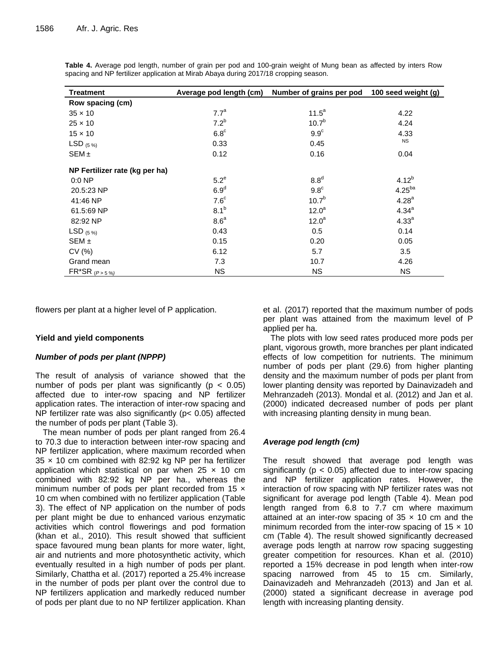| <b>Treatment</b>               | Average pod length (cm) | Number of grains per pod | 100 seed weight (g) |  |
|--------------------------------|-------------------------|--------------------------|---------------------|--|
| Row spacing (cm)               |                         |                          |                     |  |
| $35 \times 10$                 | 7.7 <sup>a</sup>        | $11.5^a$                 | 4.22                |  |
| $25 \times 10$                 | 7.2 <sup>b</sup>        | 10.7 <sup>b</sup>        | 4.24                |  |
| $15 \times 10$                 | $6.8^{\circ}$           | 9.9 <sup>c</sup>         | 4.33                |  |
| LSD $(5\%)$                    | 0.33                    | 0.45                     | <b>NS</b>           |  |
| SEM <sub>±</sub>               | 0.12                    | 0.16                     | 0.04                |  |
| NP Fertilizer rate (kg per ha) |                         |                          |                     |  |
| $0:0$ NP                       | $5.2^e$                 | 8.8 <sup>d</sup>         | $4.12^{b}$          |  |
| 20.5:23 NP                     | 6.9 <sup>d</sup>        | 9.8 <sup>c</sup>         | 4.25 <sup>ba</sup>  |  |
| 41:46 NP                       | 7.6 <sup>c</sup>        | 10.7 <sup>b</sup>        | $4.28^{a}$          |  |
| 61.5:69 NP                     | 8.1 <sup>b</sup>        | 12.0 <sup>a</sup>        | $4.34^{a}$          |  |
| 82:92 NP                       | 8.6 <sup>a</sup>        | 12.0 <sup>a</sup>        | 4.33 <sup>a</sup>   |  |
| LSD $(5\%)$                    | 0.43                    | 0.5                      | 0.14                |  |
| $SEM \pm$                      | 0.15                    | 0.20                     | 0.05                |  |
| CV(%)                          | 6.12                    | 5.7                      | 3.5                 |  |
| Grand mean                     | 7.3                     | 10.7                     | 4.26                |  |
| $FR^*SR_{(P>5\%)}$             | <b>NS</b>               | <b>NS</b>                | <b>NS</b>           |  |

**Table 4.** Average pod length, number of grain per pod and 100-grain weight of Mung bean as affected by inters Row spacing and NP fertilizer application at Mirab Abaya during 2017/18 cropping season.

flowers per plant at a higher level of P application.

## **Yield and yield components**

## *Number of pods per plant (NPPP)*

The result of analysis of variance showed that the number of pods per plant was significantly ( $p < 0.05$ ) affected due to inter-row spacing and NP fertilizer application rates. The interaction of inter-row spacing and NP fertilizer rate was also significantly (p< 0.05) affected the number of pods per plant (Table 3).

The mean number of pods per plant ranged from 26.4 to 70.3 due to interaction between inter-row spacing and NP fertilizer application, where maximum recorded when  $35 \times 10$  cm combined with 82:92 kg NP per ha fertilizer application which statistical on par when  $25 \times 10$  cm combined with 82:92 kg NP per ha., whereas the minimum number of pods per plant recorded from  $15 \times$ 10 cm when combined with no fertilizer application (Table 3). The effect of NP application on the number of pods per plant might be due to enhanced various enzymatic activities which control flowerings and pod formation (khan et al., 2010). This result showed that sufficient space favoured mung bean plants for more water, light, air and nutrients and more photosynthetic activity, which eventually resulted in a high number of pods per plant. Similarly, Chattha et al. (2017) reported a 25.4% increase in the number of pods per plant over the control due to NP fertilizers application and markedly reduced number of pods per plant due to no NP fertilizer application. Khan

et al. (2017) reported that the maximum number of pods per plant was attained from the maximum level of P applied per ha.

The plots with low seed rates produced more pods per plant, vigorous growth, more branches per plant indicated effects of low competition for nutrients. The minimum number of pods per plant (29.6) from higher planting density and the maximum number of pods per plant from lower planting density was reported by Dainavizadeh and Mehranzadeh (2013). Mondal et al. (2012) and Jan et al. (2000) indicated decreased number of pods per plant with increasing planting density in mung bean.

## *Average pod length (cm)*

The result showed that average pod length was significantly ( $p < 0.05$ ) affected due to inter-row spacing and NP fertilizer application rates. However, the interaction of row spacing with NP fertilizer rates was not significant for average pod length (Table 4). Mean pod length ranged from 6.8 to 7.7 cm where maximum attained at an inter-row spacing of  $35 \times 10$  cm and the minimum recorded from the inter-row spacing of  $15 \times 10$ cm (Table 4). The result showed significantly decreased average pods length at narrow row spacing suggesting greater competition for resources. Khan et al. (2010) reported a 15% decrease in pod length when inter-row spacing narrowed from 45 to 15 cm. Similarly, Dainavizadeh and Mehranzadeh (2013) and Jan et al*.* (2000) stated a significant decrease in average pod length with increasing planting density.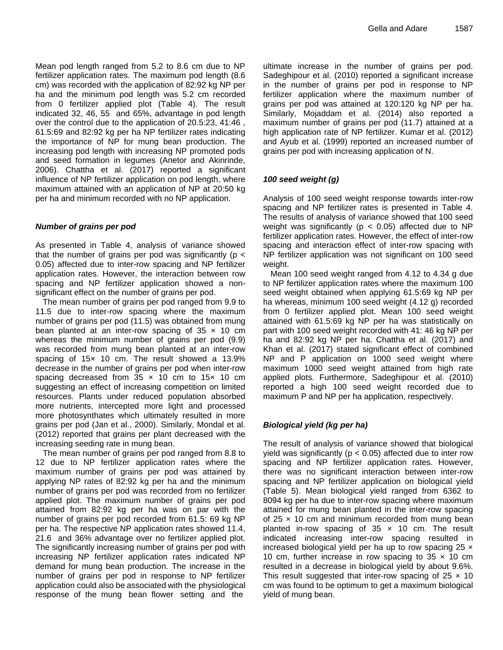Mean pod length ranged from 5.2 to 8.6 cm due to NP fertilizer application rates. The maximum pod length (8.6 cm) was recorded with the application of 82:92 kg NP per ha and the minimum pod length was 5.2 cm recorded from 0 fertilizer applied plot (Table 4). The result indicated 32, 46, 55 and 65%, advantage in pod length over the control due to the application of 20.5:23, 41:46 , 61.5:69 and 82:92 kg per ha NP fertilizer rates indicating the importance of NP for mung bean production. The increasing pod length with increasing NP promoted pods and seed formation in legumes (Anetor and Akinrinde, 2006). Chattha et al. (2017) reported a significant influence of NP fertilizer application on pod length, where maximum attained with an application of NP at 20:50 kg per ha and minimum recorded with no NP application.

## *Number of grains per pod*

As presented in Table 4, analysis of variance showed that the number of grains per pod was significantly ( $p <$ 0.05) affected due to inter-row spacing and NP fertilizer application rates. However, the interaction between row spacing and NP fertilizer application showed a nonsignificant effect on the number of grains per pod.

The mean number of grains per pod ranged from 9.9 to 11.5 due to inter-row spacing where the maximum number of grains per pod (11.5) was obtained from mung bean planted at an inter-row spacing of  $35 \times 10$  cm whereas the minimum number of grains per pod (9.9) was recorded from mung bean planted at an inter-row spacing of 15x 10 cm. The result showed a 13.9% decrease in the number of grains per pod when inter-row spacing decreased from  $35 \times 10$  cm to  $15 \times 10$  cm suggesting an effect of increasing competition on limited resources. Plants under reduced population absorbed more nutrients, intercepted more light and processed more photosynthates which ultimately resulted in more grains per pod (Jan et al., 2000). Similarly, Mondal et al. (2012) reported that grains per plant decreased with the increasing seeding rate in mung bean.

The mean number of grains per pod ranged from 8.8 to 12 due to NP fertilizer application rates where the maximum number of grains per pod was attained by applying NP rates of 82:92 kg per ha and the minimum number of grains per pod was recorded from no fertilizer applied plot. The maximum number of grains per pod attained from 82:92 kg per ha was on par with the number of grains per pod recorded from 61.5: 69 kg NP per ha. The respective NP application rates showed 11.4, 21.6 and 36% advantage over no fertilizer applied plot. The significantly increasing number of grains per pod with increasing NP fertilizer application rates indicated NP demand for mung bean production. The increase in the number of grains per pod in response to NP fertilizer application could also be associated with the physiological response of the mung bean flower setting and the

ultimate increase in the number of grains per pod. Sadeghipour et al. (2010) reported a significant increase in the number of grains per pod in response to NP fertilizer application where the maximum number of grains per pod was attained at 120:120 kg NP per ha. Similarly, Mojaddam et al. (2014) also reported a maximum number of grains per pod (11.7) attained at a high application rate of NP fertilizer. Kumar et al. (2012) and Ayub et al. (1999) reported an increased number of grains per pod with increasing application of N.

## *100 seed weight (g)*

Analysis of 100 seed weight response towards inter-row spacing and NP fertilizer rates is presented in Table 4. The results of analysis of variance showed that 100 seed weight was significantly ( $p < 0.05$ ) affected due to NP fertilizer application rates. However, the effect of inter-row spacing and interaction effect of inter-row spacing with NP fertilizer application was not significant on 100 seed weight.

Mean 100 seed weight ranged from 4.12 to 4.34 g due to NP fertilizer application rates where the maximum 100 seed weight obtained when applying 61.5:69 kg NP per ha whereas, minimum 100 seed weight (4.12 g) recorded from 0 fertilizer applied plot. Mean 100 seed weight attained with 61.5:69 kg NP per ha was statistically on part with 100 seed weight recorded with 41: 46 kg NP per ha and 82:92 kg NP per ha. Chattha et al. (2017) and Khan et al. (2017) stated significant effect of combined NP and P application on 1000 seed weight where maximum 1000 seed weight attained from high rate applied plots. Furthermore, Sadeghipour et al. (2010) reported a high 100 seed weight recorded due to maximum P and NP per ha application, respectively.

## *Biological yield (kg per ha)*

The result of analysis of variance showed that biological yield was significantly ( $p < 0.05$ ) affected due to inter row spacing and NP fertilizer application rates. However, there was no significant interaction between inter-row spacing and NP fertilizer application on biological yield (Table 5). Mean biological yield ranged from 6362 to 8094 kg per ha due to inter-row spacing where maximum attained for mung bean planted in the inter-row spacing of  $25 \times 10$  cm and minimum recorded from mung bean planted in-row spacing of  $35 \times 10$  cm. The result indicated increasing inter-row spacing resulted in increased biological yield per ha up to row spacing  $25 \times$ 10 cm, further increase in row spacing to  $35 \times 10$  cm resulted in a decrease in biological yield by about 9.6%. This result suggested that inter-row spacing of  $25 \times 10$ cm was found to be optimum to get a maximum biological yield of mung bean.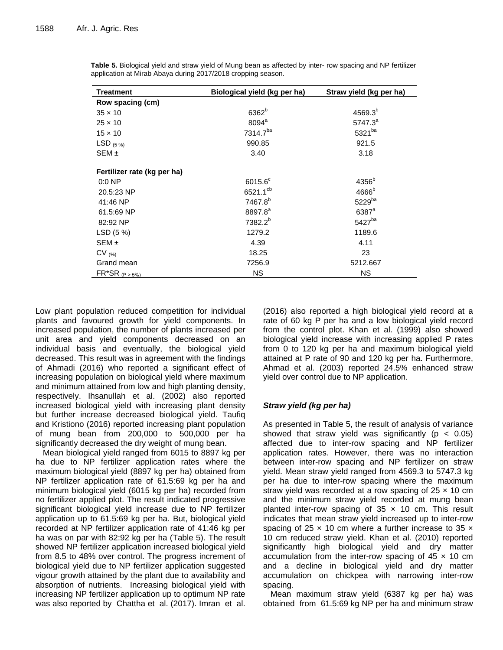| <b>Treatment</b>            | Biological yield (kg per ha) | Straw yield (kg per ha) |
|-----------------------------|------------------------------|-------------------------|
| Row spacing (cm)            |                              |                         |
| $35 \times 10$              | 6362 <sup>b</sup>            | $4569.3^{b}$            |
| $25 \times 10$              | 8094 <sup>a</sup>            | $5747.3^{a}$            |
| $15 \times 10$              | 7314.7ba                     | 5321ba                  |
| LSD $(5\%)$                 | 990.85                       | 921.5                   |
| $SEM \pm$                   | 3.40                         | 3.18                    |
| Fertilizer rate (kg per ha) |                              |                         |
| $0:0$ NP                    | $6015.6^{\circ}$             | 4356 <sup>b</sup>       |
| 20.5:23 NP                  | 6521.1 <sup>cb</sup>         | 4666 <sup>b</sup>       |
| 41:46 NP                    | 7467.8 <sup>b</sup>          | 5229ba                  |
| 61.5:69 NP                  | 8897.8 <sup>a</sup>          | 6387 <sup>a</sup>       |
| 82:92 NP                    | 7382.2 <sup>b</sup>          | 5427 <sub>ba</sub>      |
| LSD(5%)                     | 1279.2                       | 1189.6                  |
| $SEM \pm$                   | 4.39                         | 4.11                    |
| $CV_{(%)}$                  | 18.25                        | 23                      |
| Grand mean                  | 7256.9                       | 5212.667                |
| $FR^*SR_{(P > 5\%)}$        | <b>NS</b>                    | <b>NS</b>               |

**Table 5.** Biological yield and straw yield of Mung bean as affected by inter- row spacing and NP fertilizer application at Mirab Abaya during 2017/2018 cropping season.

Low plant population reduced competition for individual plants and favoured growth for yield components. In increased population, the number of plants increased per unit area and yield components decreased on an individual basis and eventually, the biological yield decreased. This result was in agreement with the findings of Ahmadi (2016) who reported a significant effect of increasing population on biological yield where maximum and minimum attained from low and high planting density, respectively. Ihsanullah et al. (2002) also reported increased biological yield with increasing plant density but further increase decreased biological yield. Taufiq and Kristiono (2016) reported increasing plant population of mung bean from 200,000 to 500,000 per ha significantly decreased the dry weight of mung bean.

Mean biological yield ranged from 6015 to 8897 kg per ha due to NP fertilizer application rates where the maximum biological yield (8897 kg per ha) obtained from NP fertilizer application rate of 61.5:69 kg per ha and minimum biological yield (6015 kg per ha) recorded from no fertilizer applied plot. The result indicated progressive significant biological yield increase due to NP fertilizer application up to 61.5:69 kg per ha. But, biological yield recorded at NP fertilizer application rate of 41:46 kg per ha was on par with 82:92 kg per ha (Table 5). The result showed NP fertilizer application increased biological yield from 8.5 to 48% over control. The progress increment of biological yield due to NP fertilizer application suggested vigour growth attained by the plant due to availability and absorption of nutrients. Increasing biological yield with increasing NP fertilizer application up to optimum NP rate was also reported by Chattha et al. (2017). Imran et al.

(2016) also reported a high biological yield record at a rate of 60 kg P per ha and a low biological yield record from the control plot. Khan et al. (1999) also showed biological yield increase with increasing applied P rates from 0 to 120 kg per ha and maximum biological yield attained at P rate of 90 and 120 kg per ha. Furthermore, Ahmad et al. (2003) reported 24.5% enhanced straw yield over control due to NP application.

## *Straw yield (kg per ha)*

As presented in Table 5, the result of analysis of variance showed that straw yield was significantly ( $p < 0.05$ ) affected due to inter-row spacing and NP fertilizer application rates. However, there was no interaction between inter-row spacing and NP fertilizer on straw yield. Mean straw yield ranged from 4569.3 to 5747.3 kg per ha due to inter-row spacing where the maximum straw yield was recorded at a row spacing of  $25 \times 10$  cm and the minimum straw yield recorded at mung bean planted inter-row spacing of  $35 \times 10$  cm. This result indicates that mean straw yield increased up to inter-row spacing of 25  $\times$  10 cm where a further increase to 35  $\times$ 10 cm reduced straw yield. Khan et al. (2010) reported significantly high biological yield and dry matter accumulation from the inter-row spacing of  $45 \times 10$  cm and a decline in biological yield and dry matter accumulation on chickpea with narrowing inter-row spacing.

Mean maximum straw yield (6387 kg per ha) was obtained from 61.5:69 kg NP per ha and minimum straw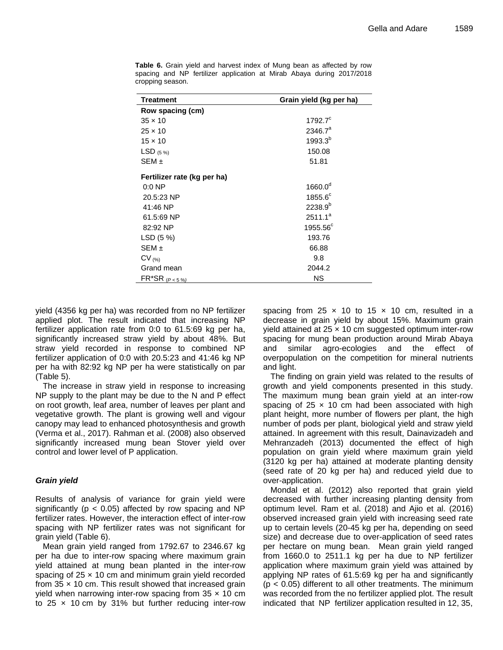| <b>Treatment</b>            | Grain yield (kg per ha) |  |  |  |
|-----------------------------|-------------------------|--|--|--|
| Row spacing (cm)            |                         |  |  |  |
| $35 \times 10$              | $1792.7^{\circ}$        |  |  |  |
| $25 \times 10$              | $2346.7^a$              |  |  |  |
| $15 \times 10$              | $1993.3^{b}$            |  |  |  |
| LSD $(5\%)$                 | 150.08                  |  |  |  |
| SEM ±                       | 51.81                   |  |  |  |
| Fertilizer rate (kg per ha) |                         |  |  |  |
| $0:0$ NP                    | $1660.0^d$              |  |  |  |
| 20.5:23 NP                  | $1855.6^{\circ}$        |  |  |  |
| 41:46 NP                    | $2238.9^{b}$            |  |  |  |
| 61.5:69 NP                  | $2511.1^a$              |  |  |  |
| 82:92 NP                    | $1955.56^{\circ}$       |  |  |  |
| LSD (5 %)                   | 193.76                  |  |  |  |
| $SEM \pm$                   | 66.88                   |  |  |  |
| $CV_{(%)}$                  | 9.8                     |  |  |  |
| Grand mean                  | 2044.2                  |  |  |  |
| $FR^*SR$ ( $P < 5\%$ )      | ΝS                      |  |  |  |

**Table 6.** Grain yield and harvest index of Mung bean as affected by row spacing and NP fertilizer application at Mirab Abaya during 2017/2018 cropping season.

yield (4356 kg per ha) was recorded from no NP fertilizer applied plot. The result indicated that increasing NP fertilizer application rate from 0:0 to 61.5:69 kg per ha, significantly increased straw yield by about 48%. But straw yield recorded in response to combined NP fertilizer application of 0:0 with 20.5:23 and 41:46 kg NP per ha with 82:92 kg NP per ha were statistically on par (Table 5).

The increase in straw yield in response to increasing NP supply to the plant may be due to the N and P effect on root growth, leaf area, number of leaves per plant and vegetative growth. The plant is growing well and vigour canopy may lead to enhanced photosynthesis and growth (Verma et al., 2017). Rahman et al. (2008) also observed significantly increased mung bean Stover yield over control and lower level of P application.

## *Grain yield*

Results of analysis of variance for grain yield were significantly ( $p < 0.05$ ) affected by row spacing and NP fertilizer rates. However, the interaction effect of inter-row spacing with NP fertilizer rates was not significant for grain yield (Table 6).

Mean grain yield ranged from 1792.67 to 2346.67 kg per ha due to inter-row spacing where maximum grain yield attained at mung bean planted in the inter-row spacing of  $25 \times 10$  cm and minimum grain yield recorded from  $35 \times 10$  cm. This result showed that increased grain yield when narrowing inter-row spacing from  $35 \times 10$  cm to 25  $\times$  10 cm by 31% but further reducing inter-row spacing from 25  $\times$  10 to 15  $\times$  10 cm, resulted in a decrease in grain yield by about 15%. Maximum grain yield attained at  $25 \times 10$  cm suggested optimum inter-row spacing for mung bean production around Mirab Abaya and similar agro-ecologies and the effect of overpopulation on the competition for mineral nutrients and light.

The finding on grain yield was related to the results of growth and yield components presented in this study. The maximum mung bean grain yield at an inter-row spacing of  $25 \times 10$  cm had been associated with high plant height, more number of flowers per plant, the high number of pods per plant, biological yield and straw yield attained. In agreement with this result, Dainavizadeh and Mehranzadeh (2013) documented the effect of high population on grain yield where maximum grain yield (3120 kg per ha) attained at moderate planting density (seed rate of 20 kg per ha) and reduced yield due to over-application.

Mondal et al. (2012) also reported that grain yield decreased with further increasing planting density from optimum level. Ram et al. (2018) and Ajio et al. (2016) observed increased grain yield with increasing seed rate up to certain levels (20-45 kg per ha, depending on seed size) and decrease due to over-application of seed rates per hectare on mung bean. Mean grain yield ranged from 1660.0 to 2511.1 kg per ha due to NP fertilizer application where maximum grain yield was attained by applying NP rates of 61.5:69 kg per ha and significantly  $(p < 0.05)$  different to all other treatments. The minimum was recorded from the no fertilizer applied plot. The result indicated that NP fertilizer application resulted in 12, 35,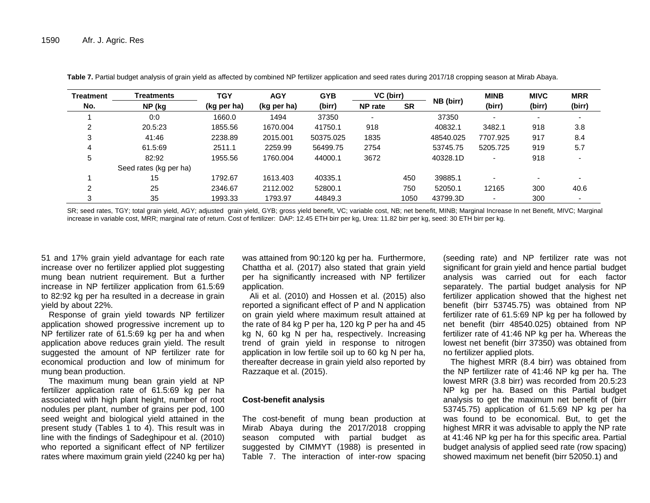| Treatment | <b>Treatments</b>      | <b>TGY</b>  | <b>AGY</b>  | <b>GYB</b> | VC (birr)                |           |           | <b>MINB</b> | <b>MIVC</b> | <b>MRR</b>               |
|-----------|------------------------|-------------|-------------|------------|--------------------------|-----------|-----------|-------------|-------------|--------------------------|
| No.       | NP (kg                 | (kg per ha) | (kg per ha) | (birr)     | <b>NP</b> rate           | <b>SR</b> | NB (birr) | (birr)      | (birr)      | (birr)                   |
|           | 0:0                    | 1660.0      | 1494        | 37350      | $\overline{\phantom{a}}$ |           | 37350     |             |             |                          |
| ົ         | 20.5:23                | 1855.56     | 1670.004    | 41750.1    | 918                      |           | 40832.1   | 3482.1      | 918         | 3.8                      |
| 3         | 41:46                  | 2238.89     | 2015.001    | 50375.025  | 1835                     |           | 48540.025 | 7707.925    | 917         | 8.4                      |
| 4         | 61.5:69                | 2511.1      | 2259.99     | 56499.75   | 2754                     |           | 53745.75  | 5205.725    | 919         | 5.7                      |
| 5         | 82:92                  | 1955.56     | 1760.004    | 44000.1    | 3672                     |           | 40328.1D  |             | 918         |                          |
|           | Seed rates (kg per ha) |             |             |            |                          |           |           |             |             |                          |
|           | 15                     | 1792.67     | 1613.403    | 40335.1    |                          | 450       | 39885.1   |             |             | $\overline{\phantom{0}}$ |
| ◠         | 25                     | 2346.67     | 2112.002    | 52800.1    |                          | 750       | 52050.1   | 12165       | 300         | 40.6                     |
| 3         | 35                     | 1993.33     | 1793.97     | 44849.3    |                          | 1050      | 43799.3D  |             | 300         |                          |

**Table 7.** Partial budget analysis of grain yield as affected by combined NP fertilizer application and seed rates during 2017/18 cropping season at Mirab Abaya.

SR; seed rates, TGY; total grain yield, AGY; adjusted grain yield, GYB; gross yield benefit, VC; variable cost, NB; net benefit, MINB; Marginal Increase In net Benefit, MIVC: Marginal increase in variable cost, MRR; marginal rate of return. Cost of fertilizer: DAP: 12.45 ETH birr per kg, Urea: 11.82 birr per kg, seed: 30 ETH birr per kg.

51 and 17% grain yield advantage for each rate increase over no fertilizer applied plot suggesting mung bean nutrient requirement. But a further increase in NP fertilizer application from 61.5:69 to 82:92 kg per ha resulted in a decrease in grain yield by about 22%.

Response of grain yield towards NP fertilizer application showed progressive increment up to NP fertilizer rate of 61.5:69 kg per ha and when application above reduces grain yield. The result suggested the amount of NP fertilizer rate for economical production and low of minimum for mung bean production.

The maximum mung bean grain yield at NP fertilizer application rate of 61.5:69 kg per ha associated with high plant height, number of root nodules per plant, number of grains per pod, 100 seed weight and biological yield attained in the present study (Tables 1 to 4). This result was in line with the findings of Sadeghipour et al. (2010) who reported a significant effect of NP fertilizer rates where maximum grain yield (2240 kg per ha)

was attained from 90:120 kg per ha. Furthermore, Chattha et al. (2017) also stated that grain yield per ha significantly increased with NP fertilizer application.

Ali et al. (2010) and Hossen et al. (2015) also reported a significant effect of P and N application on grain yield where maximum result attained at the rate of 84 kg P per ha, 120 kg P per ha and 45 kg N, 60 kg N per ha, respectively. Increasing trend of grain yield in response to nitrogen application in low fertile soil up to 60 kg N per ha, thereafter decrease in grain yield also reported by Razzaque et al. (2015).

#### **Cost-benefit analysis**

The cost-benefit of mung bean production at Mirab Abaya during the 2017/2018 cropping season computed with partial budget as suggested by CIMMYT (1988) is presented in Table 7. The interaction of inter-row spacing

(seeding rate) and NP fertilizer rate was not significant for grain yield and hence partial budget analysis was carried out for each factor separately. The partial budget analysis for NP fertilizer application showed that the highest net benefit (birr 53745.75) was obtained from NP fertilizer rate of 61.5:69 NP kg per ha followed by net benefit (birr 48540.025) obtained from NP fertilizer rate of 41:46 NP kg per ha. Whereas the lowest net benefit (birr 37350) was obtained from no fertilizer applied plots.

The highest MRR (8.4 birr) was obtained from the NP fertilizer rate of 41:46 NP kg per ha. The lowest MRR (3.8 birr) was recorded from 20.5:23 NP kg per ha. Based on this Partial budget analysis to get the maximum net benefit of (birr 53745.75) application of 61.5:69 NP kg per ha was found to be economical. But, to get the highest MRR it was advisable to apply the NP rate at 41:46 NP kg per ha for this specific area. Partial budget analysis of applied seed rate (row spacing) showed maximum net benefit (birr 52050.1) and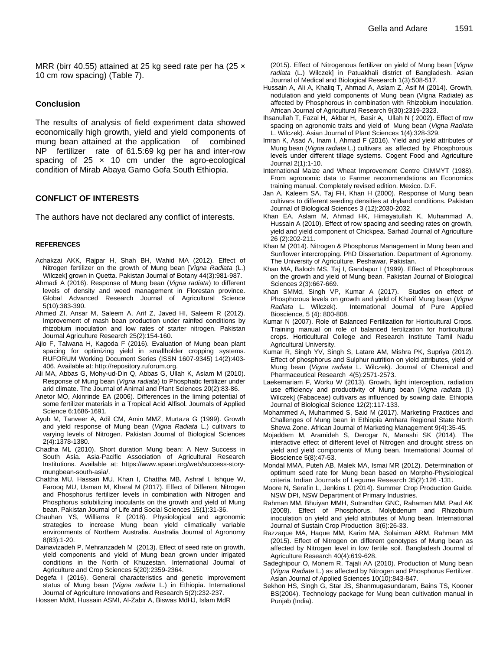MRR (birr 40.55) attained at 25 kg seed rate per ha (25 x 10 cm row spacing) (Table 7).

#### **Conclusion**

The results of analysis of field experiment data showed economically high growth, yield and yield components of mung bean attained at the application of combined NP fertilizer rate of 61.5:69 kg per ha and inter-row spacing of  $25 \times 10$  cm under the agro-ecological condition of Mirab Abaya Gamo Gofa South Ethiopia.

## **CONFLICT OF INTERESTS**

The authors have not declared any conflict of interests.

#### **REFERENCES**

- Achakzai AKK, Rajpar H, Shah BH, Wahid MA (2012). Effect of Nitrogen fertilizer on the growth of Mung bean [*Vigna Radiata* (L.) Wilczek] grown in Quetta. Pakistan Journal of Botany 44(3):981-987.
- Ahmadi A (2016). Response of Mung bean (*Vigna radiata*) to different levels of density and weed management in Florestan province. Global Advanced Research Journal of Agricultural Science 5(10):383-390.
- Ahmed ZI, Ansar M, Saleem A, Arif Z, Javed HI, Saleem R (2012). Improvement of mash bean production under rainfed conditions by rhizobium inoculation and low rates of starter nitrogen*.* Pakistan Journal Agriculture Research 25(2):154-160.
- Ajio F, Talwana H, Kagoda F (2016). Evaluation of Mung bean plant spacing for optimizing yield in smallholder cropping systems. RUFORUM Working Document Series (ISSN 1607-9345) 14(2):403- 406. Available at: http://repository.ruforum.org.
- Ali MA, Abbas G, Mohy-ud-Din Q, Abbas G, Ullah K, Aslam M (2010). Response of Mung bean (*Vigna radiata*) to Phosphatic fertilizer under arid climate. The Journal of Animal and Plant Sciences 20(2):83-86.
- Anetor MO, Akinrinde EA (2006). Differences in the liming potential of some fertilizer materials in a Tropical Acid Alfisol*.* Journals of Applied Science 6:1686-1691.
- Ayub M, Tanveer A, Adil CM, Amin MMZ, Murtaza G (1999). Growth and yield response of Mung bean (*Vigna Radiata* L.) cultivars to varying levels of Nitrogen. Pakistan Journal of Biological Sciences 2(4):1378-1380.
- Chadha ML (2010). Short duration Mung bean: A New Success in South Asia. Asia-Pacific Association of Agricultural Research Institutions. Available at: https://www.apaari.org/web/success-storymungbean-south-asia/.
- Chattha MU, Hassan MU, Khan I, Chattha MB, Ashraf I, Ishque W, Farooq MU, Usman M, Kharal M (2017). Effect of Different Nitrogen and Phosphorus fertilizer levels in combination with Nitrogen and Phosphorus solubilizing inoculants on the growth and yield of Mung bean. Pakistan Journal of Life and Social Sciences 15(1):31-36.
- Chauhan YS, Williams R (2018). Physiological and agronomic strategies to increase Mung bean yield climatically variable environments of Northern Australia. Australia Journal of Agronomy 8(83):1-20.
- Dainavizadeh P, Mehranzadeh [M](https://www.semanticscholar.org/author/Mohammad-Mehranzadeh/88821221) (2013). Effect of seed rate on growth, yield components and yield of Mung bean grown under irrigated conditions in the North of Khuzestan. International Journal of Agriculture and Crop Sciences 5(20):2359-2364.
- Degefa I (2016). General characteristics and genetic improvement status of Mung bean (*Vigna radiata* L.) in Ethiopia. International Journal of Agriculture Innovations and Research 5(2):232-237.
- Hossen MdM, Hussain ASMI, Al-Zabir A, Biswas MdHJ, Islam MdR

(2015). Effect of Nitrogenous fertilizer on yield of Mung bean [*Vigna radiata* (L.) Wilczek] in Patuakhali district of Bangladesh. Asian Journal of Medical and Biological Research 1(3):508-517.

- Hussain A, Ali A, Khaliq T, Ahmad A, Aslam Z, Asif M (2014). Growth, nodulation and yield components of Mung bean (Vigna Radiate) as affected by Phosphorous in combination with Rhizobium inoculation. African Journal of Agricultural Research 9(30):2319-2323.
- [Ihsanullah T](http://ascidatabase.com/author.php?author=Ihsanullah&last=), Fazal H, Akba[r H,](http://ascidatabase.com/author.php?author=Habib%20Akbar&last=) Basi[r A,](http://ascidatabase.com/author.php?author=Abdul%20Basir&last=) Ullah [N \( 2](http://ascidatabase.com/author.php?author=Noor%20Ullah&last=)002)**.** Effect of row spacing on agronomic traits and yield of Mung bean (*Vigna Radiata* L. Wilczek). Asian Journal of Plant Sciences 1(4):328-329.
- Imran K, Asad A, Inam I, Ahmad F (2016). Yield and yield attributes of Mung bean (*Vigna radiata* L.) cultivars as affected by Phosphorous levels under different tillage systems. Cogent Food and Agriculture Journal 2(1):1-10.
- International Maize and Wheat Improvement Centre CIMMYT (1988). From agronomic data to Farmer recommendations an Economics training manual. Completely revised edition. Mexico. D.F.
- Jan A, Kaleem SA, Taj FH, Khan H (2000). Response of Mung bean cultivars to different seeding densities at dryland conditions. Pakistan Journal of Biological Sciences 3 (12):2030-2032.
- Khan EA, Aslam M, Ahmad HK, Himayatullah K, Muhammad A, Hussain A (2010). Effect of row spacing and seeding rates on growth, yield and yield component of Chickpea. Sarhad Journal of Agriculture 26 (2):202-211.
- Khan M (2014). Nitrogen & Phosphorus Management in Mung bean and Sunflower intercropping. PhD Dissertation. Department of Agronomy. The University of Agriculture, Peshawar, Pakistan.
- Khan MA, Baloch MS, Taj I, Gandapur I (1999). Effect of Phosphorous on the growth and yield of Mung bean. Pakistan Journal of Biological Sciences 2(3):667-669.
- Khan SMMd, Singh VP, Kumar A (2017). Studies on effect of Phosphorous levels on growth and yield of Kharif Mung bean (*Vigna Radiata* L. Wilczek). International Journal of Pure Applied Bioscience*,* 5 (4): 800-808.
- Kumar N (2007). Role of Balanced Fertilization for Horticultural Crops. Training manual on role of balanced fertilization for horticultural crops. Horticultural College and Research Institute Tamil Nadu Agricultural University.
- Kumar R, Singh YV, Singh S, Latare AM, Mishra PK, Supriya (2012). Effect of phosphorus and Sulphur nutrition on yield attributes, yield of Mung bean (*Vigna radiata* L. Wilczek). Journal of Chemical and Pharmaceutical Research 4(5):2571-2573.
- Laekemariam F, Worku W (2013). Growth, light interception, radiation use efficiency and productivity of Mung bean [*Vigna radiata* (l.) Wilczek] (Fabaceae) cultivars as influenced by sowing date. Ethiopia Journal of Biological Science 12(2):117-133.
- Mohammed A, Muhammed S, Said M (2017). Marketing Practices and Challenges of Mung bean in Ethiopia Amhara Regional State North Shewa Zone. African Journal of Marketing Management 9(4):35-45*.*
- Mojaddam M, Aramideh S, Derogar N, Marashi SK (2014). The interactive effect of different level of Nitrogen and drought stress on yield and yield components of Mung bean. International Journal of Bioscience 5(8):47-53.
- Mondal MMA, Puteh AB, Malek MA, Ismai MR (2012). Determination of optimum seed rate for Mung bean based on Morpho-Physiological criteria. Indian Journals of Legume Research 35(2):126 -131.
- Moore N, Serafin L, Jenkins L (2014). Summer Crop Production Guide. NSW DPI, NSW Department of Primary Industries.
- Rahman MM, Bhuiyan MMH, Sutrandhar GNC, Rahaman MM, Paul AK (2008). Effect of Phosphorus, Molybdenum and Rhizobium inoculation on yield and yield attributes of Mung bean*.* International Journal of Sustain Crop Production 3(6):26-33.
- Razzaque MA, Haque MM, Karim MA, Solaiman ARM, Rahman MM (2015). Effect of Nitrogen on different genotypes of Mung bean as affected by Nitrogen level in low fertile soil. Bangladesh Journal of Agriculture Research 40(4):619-628.
- Sadeghipour O, Monem R, Tajali AA (2010). Production of Mung bean (*Vigna Radiate* L.) as affected by Nitrogen and Phosphorus Fertilizer. Asian Journal of Applied Sciences 10(10):843-847.
- Sekhon HS, Singh G, Star JS, Shanmugasundaram, Bains TS, Kooner BS(2004). Technology package for Mung bean cultivation manual in Punjab (India).